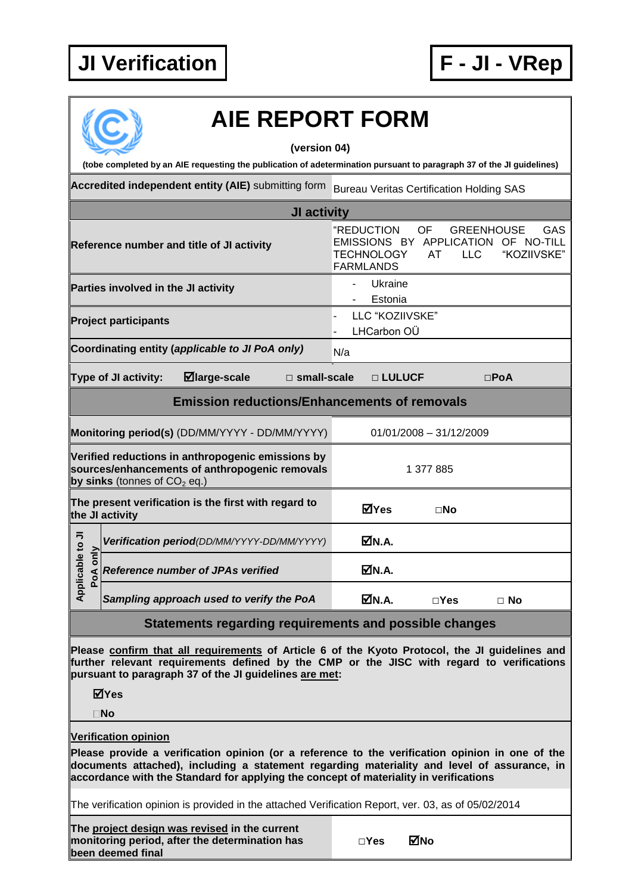## **JI Verification F - JI - VRep**



## **AIE REPORT FORM**

**(version 04)**

**(tobe completed by an AIE requesting the publication of adetermination pursuant to paragraph 37 of the JI guidelines)**

Accredited independent entity (AIE) submitting form Bureau Veritas Certification Holding SAS

| JI activity                                                                                                                                                                                                                                           |                                                                                                                                                                 |  |  |  |
|-------------------------------------------------------------------------------------------------------------------------------------------------------------------------------------------------------------------------------------------------------|-----------------------------------------------------------------------------------------------------------------------------------------------------------------|--|--|--|
| Reference number and title of JI activity                                                                                                                                                                                                             | "REDUCTION<br>OF<br><b>GREENHOUSE</b><br>GAS<br>EMISSIONS BY APPLICATION OF NO-TILL<br><b>TECHNOLOGY</b><br><b>LLC</b><br>"KOZIIVSKE"<br>AT<br><b>FARMLANDS</b> |  |  |  |
| Parties involved in the JI activity                                                                                                                                                                                                                   | Ukraine<br>Estonia                                                                                                                                              |  |  |  |
| <b>Project participants</b>                                                                                                                                                                                                                           | LLC "KOZIIVSKE"<br>LHCarbon OÜ                                                                                                                                  |  |  |  |
| Coordinating entity (applicable to JI PoA only)                                                                                                                                                                                                       | N/a                                                                                                                                                             |  |  |  |
| $\boxdot$ large-scale<br>Type of JI activity:<br>$\square$ small-scale                                                                                                                                                                                | □ LULUCF<br>$\square$ PoA                                                                                                                                       |  |  |  |
| <b>Emission reductions/Enhancements of removals</b>                                                                                                                                                                                                   |                                                                                                                                                                 |  |  |  |
| Monitoring period(s) (DD/MM/YYYY - DD/MM/YYYY)                                                                                                                                                                                                        | $01/01/2008 - 31/12/2009$                                                                                                                                       |  |  |  |
| Verified reductions in anthropogenic emissions by<br>sources/enhancements of anthropogenic removals<br>by sinks (tonnes of $CO2$ eq.)                                                                                                                 | 1 377 885                                                                                                                                                       |  |  |  |
| The present verification is the first with regard to<br>the JI activity                                                                                                                                                                               | ⊠Yes<br>$\square$ No                                                                                                                                            |  |  |  |
| Verification period(DD/MM/YYYY-DD/MM/YYYY)                                                                                                                                                                                                            | MN.A.                                                                                                                                                           |  |  |  |
| Applicable to JI<br>PoA only<br><b>Reference number of JPAs verified</b>                                                                                                                                                                              | ØN.A.                                                                                                                                                           |  |  |  |
| Sampling approach used to verify the PoA                                                                                                                                                                                                              | M.A.<br>$\Box$ Yes<br>$\Box$ No                                                                                                                                 |  |  |  |
| Statements regarding requirements and possible changes                                                                                                                                                                                                |                                                                                                                                                                 |  |  |  |
| Please confirm that all requirements of Article 6 of the Kyoto Protocol, the JI guidelines and<br>further relevant requirements defined by the CMP or the JISC with regard to verifications<br>pursuant to paragraph 37 of the JI guidelines are met: |                                                                                                                                                                 |  |  |  |

**Yes**

**No**

**Verification opinion**

**Please provide a verification opinion (or a reference to the verification opinion in one of the documents attached), including a statement regarding materiality and level of assurance, in accordance with the Standard for applying the concept of materiality in verifications**

The verification opinion is provided in the attached Verification Report, ver. 03, as of 05/02/2014

**The project design was revised in the current monitoring period, after the determination has been deemed final**